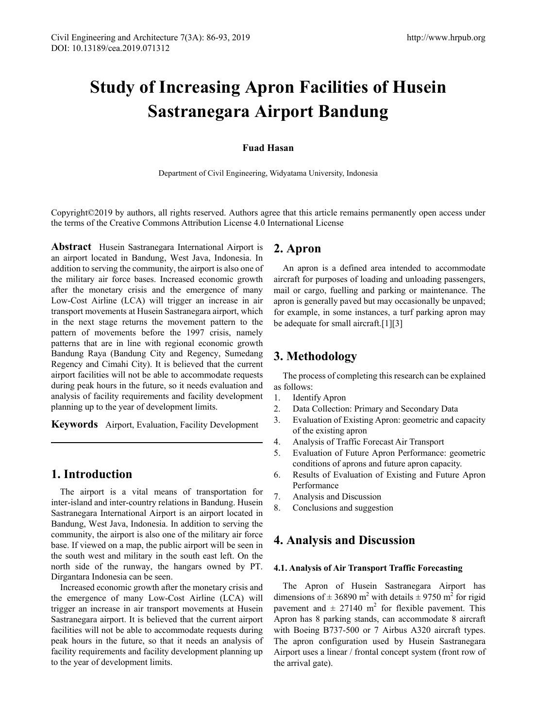# **Study of Increasing Apron Facilities of Husein Sastranegara Airport Bandung**

#### **Fuad Hasan**

Department of Civil Engineering, Widyatama University, Indonesia

Copyright©2019 by authors, all rights reserved. Authors agree that this article remains permanently open access under the terms of the Creative Commons Attribution License 4.0 International License

**Abstract** Husein Sastranegara International Airport is an airport located in Bandung, West Java, Indonesia. In addition to serving the community, the airport is also one of the military air force bases. Increased economic growth after the monetary crisis and the emergence of many Low-Cost Airline (LCA) will trigger an increase in air transport movements at Husein Sastranegara airport, which in the next stage returns the movement pattern to the pattern of movements before the 1997 crisis, namely patterns that are in line with regional economic growth Bandung Raya (Bandung City and Regency, Sumedang Regency and Cimahi City). It is believed that the current airport facilities will not be able to accommodate requests during peak hours in the future, so it needs evaluation and analysis of facility requirements and facility development planning up to the year of development limits.

**Keywords** Airport, Evaluation, Facility Development

## **1. Introduction**

The airport is a vital means of transportation for inter-island and inter-country relations in Bandung. Husein Sastranegara International Airport is an airport located in Bandung, West Java, Indonesia. In addition to serving the community, the airport is also one of the military air force base. If viewed on a map, the public airport will be seen in the south west and military in the south east left. On the north side of the runway, the hangars owned by PT. Dirgantara Indonesia can be seen.

Increased economic growth after the monetary crisis and the emergence of many Low-Cost Airline (LCA) will trigger an increase in air transport movements at Husein Sastranegara airport. It is believed that the current airport facilities will not be able to accommodate requests during peak hours in the future, so that it needs an analysis of facility requirements and facility development planning up to the year of development limits.

### **2. Apron**

An apron is a defined area intended to accommodate aircraft for purposes of loading and unloading passengers, mail or cargo, fuelling and parking or maintenance. The apron is generally paved but may occasionally be unpaved; for example, in some instances, a turf parking apron may be adequate for small aircraft.[1][3]

## **3. Methodology**

The process of completing this research can be explained as follows:

- 1. Identify Apron
- 2. Data Collection: Primary and Secondary Data
- 3. Evaluation of Existing Apron: geometric and capacity of the existing apron
- 4. Analysis of Traffic Forecast Air Transport
- 5. Evaluation of Future Apron Performance: geometric conditions of aprons and future apron capacity.
- 6. Results of Evaluation of Existing and Future Apron Performance
- 7. Analysis and Discussion
- 8. Conclusions and suggestion

## **4. Analysis and Discussion**

#### **4.1. Analysis of Air Transport Traffic Forecasting**

The Apron of Husein Sastranegara Airport has dimensions of  $\pm$  36890 m<sup>2</sup> with details  $\pm$  9750 m<sup>2</sup> for rigid pavement and  $\pm$  27140 m<sup>2</sup> for flexible pavement. This Apron has 8 parking stands, can accommodate 8 aircraft with Boeing B737-500 or 7 Airbus A320 aircraft types. The apron configuration used by Husein Sastranegara Airport uses a linear / frontal concept system (front row of the arrival gate).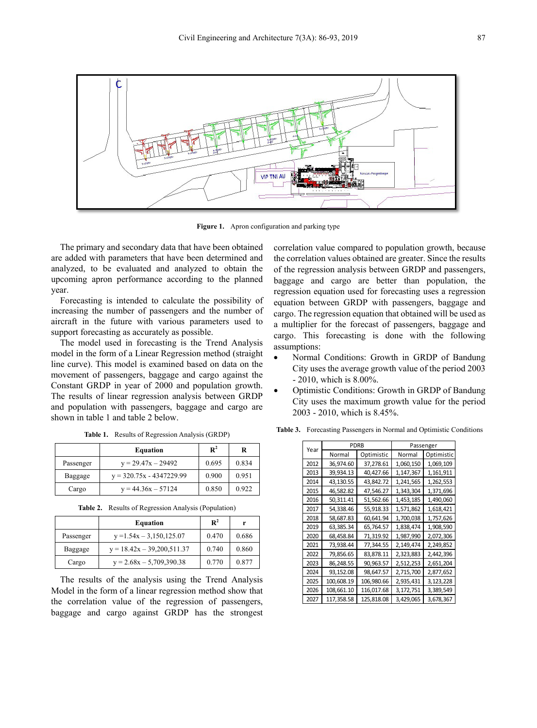

**Figure 1.** Apron configuration and parking type

The primary and secondary data that have been obtained are added with parameters that have been determined and analyzed, to be evaluated and analyzed to obtain the upcoming apron performance according to the planned year.

Forecasting is intended to calculate the possibility of increasing the number of passengers and the number of aircraft in the future with various parameters used to support forecasting as accurately as possible.

The model used in forecasting is the Trend Analysis model in the form of a Linear Regression method (straight line curve). This model is examined based on data on the movement of passengers, baggage and cargo against the Constant GRDP in year of 2000 and population growth. The results of linear regression analysis between GRDP and population with passengers, baggage and cargo are shown in table 1 and table 2 below.

|           | <b>Equation</b>            | $\mathbf{R}^2$ | R     |
|-----------|----------------------------|----------------|-------|
| Passenger | $y = 29.47x - 29492$       | 0.695          | 0.834 |
| Baggage   | $y = 320.75x - 4347229.99$ | 0.900          | 0.951 |
| Cargo     | $y = 44.36x - 57124$       | 0.850          | 0.922 |

**Table 1.** Results of Regression Analysis (GRDP)

**Table 2.** Results of Regression Analysis (Population)

|           | <b>Equation</b>                | $\mathbf{R}^2$ | r     |
|-----------|--------------------------------|----------------|-------|
| Passenger | $y = 1.54x - 3.150, 125.07$    | 0.470          | 0.686 |
| Baggage   | $y = 18.42x - 39.200511.37$    | 0.740          | 0.860 |
| Cargo     | $y = 2.68x - 5{,}709{,}390.38$ | 0.770          | 0.877 |

The results of the analysis using the Trend Analysis Model in the form of a linear regression method show that the correlation value of the regression of passengers, baggage and cargo against GRDP has the strongest correlation value compared to population growth, because the correlation values obtained are greater. Since the results of the regression analysis between GRDP and passengers, baggage and cargo are better than population, the regression equation used for forecasting uses a regression equation between GRDP with passengers, baggage and cargo. The regression equation that obtained will be used as a multiplier for the forecast of passengers, baggage and cargo. This forecasting is done with the following assumptions:

- Normal Conditions: Growth in GRDP of Bandung City uses the average growth value of the period 2003 - 2010, which is 8.00%.
- Optimistic Conditions: Growth in GRDP of Bandung City uses the maximum growth value for the period 2003 - 2010, which is 8.45%.

| Year | <b>PDRB</b> |            | Passenger |            |  |
|------|-------------|------------|-----------|------------|--|
|      | Normal      | Optimistic | Normal    | Optimistic |  |
| 2012 | 36,974.60   | 37,278.61  | 1,060,150 | 1,069,109  |  |
| 2013 | 39,934.13   | 40,427.66  | 1,147,367 | 1,161,911  |  |
| 2014 | 43,130.55   | 43,842.72  | 1,241,565 | 1,262,553  |  |
| 2015 | 46,582.82   | 47,546.27  | 1,343,304 | 1,371,696  |  |
| 2016 | 50,311.41   | 51,562.66  | 1,453,185 | 1,490,060  |  |
| 2017 | 54,338.46   | 55,918.33  | 1,571,862 | 1,618,421  |  |
| 2018 | 58,687.83   | 60,641.94  | 1,700,038 | 1,757,626  |  |
| 2019 | 63,385.34   | 65,764.57  | 1,838,474 | 1,908,590  |  |
| 2020 | 68,458.84   | 71,319.92  | 1,987,990 | 2,072,306  |  |
| 2021 | 73,938.44   | 77,344.55  | 2,149,474 | 2,249,852  |  |
| 2022 | 79,856.65   | 83,878.11  | 2,323,883 | 2,442,396  |  |
| 2023 | 86,248.55   | 90,963.57  | 2,512,253 | 2,651,204  |  |
| 2024 | 93,152.08   | 98,647.57  | 2,715,700 | 2,877,652  |  |
| 2025 | 100,608.19  | 106,980.66 | 2,935,431 | 3,123,228  |  |
| 2026 | 108,661.10  | 116,017.68 | 3,172,751 | 3,389,549  |  |
| 2027 | 117,358.58  | 125,818.08 | 3,429,065 | 3,678,367  |  |

**Table 3.** Forecasting Passengers in Normal and Optimistic Conditions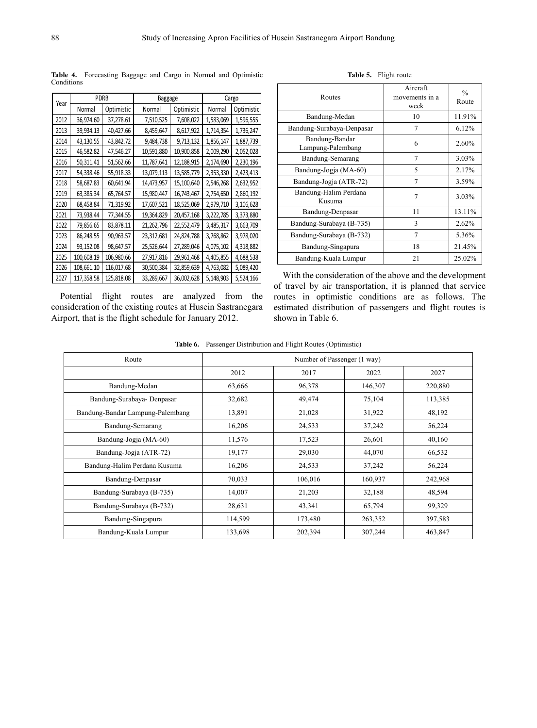|      | <b>PDRB</b> |            | Baggage    |            |           | Cargo      |
|------|-------------|------------|------------|------------|-----------|------------|
| Year | Normal      | Optimistic | Normal     | Optimistic | Normal    | Optimistic |
| 2012 | 36,974.60   | 37,278.61  | 7,510,525  | 7,608,022  | 1,583,069 | 1,596,555  |
| 2013 | 39,934.13   | 40,427.66  | 8,459,647  | 8,617,922  | 1,714,354 | 1,736,247  |
| 2014 | 43,130.55   | 43,842.72  | 9,484,738  | 9,713,132  | 1,856,147 | 1,887,739  |
| 2015 | 46,582.82   | 47,546.27  | 10,591,880 | 10,900,858 | 2,009,290 | 2,052,028  |
| 2016 | 50,311.41   | 51,562.66  | 11,787,641 | 12,188,915 | 2,174,690 | 2,230,196  |
| 2017 | 54,338.46   | 55,918.33  | 13,079,113 | 13,585,779 | 2,353,330 | 2,423,413  |
| 2018 | 58,687.83   | 60,641.94  | 14,473,957 | 15,100,640 | 2,546,268 | 2,632,952  |
| 2019 | 63,385.34   | 65,764.57  | 15,980,447 | 16,743,467 | 2,754,650 | 2,860,192  |
| 2020 | 68,458.84   | 71,319.92  | 17,607,521 | 18,525,069 | 2,979,710 | 3,106,628  |
| 2021 | 73,938.44   | 77,344.55  | 19,364,829 | 20,457,168 | 3,222,785 | 3,373,880  |
| 2022 | 79,856.65   | 83,878.11  | 21,262,796 | 22,552,479 | 3,485,317 | 3,663,709  |
| 2023 | 86,248.55   | 90,963.57  | 23,312,681 | 24,824,788 | 3,768,862 | 3,978,020  |
| 2024 | 93,152.08   | 98,647.57  | 25,526,644 | 27,289,046 | 4,075,102 | 4,318,882  |
| 2025 | 100,608.19  | 106,980.66 | 27,917,816 | 29,961,468 | 4,405,855 | 4,688,538  |
| 2026 | 108,661.10  | 116,017.68 | 30,500,384 | 32,859,639 | 4,763,082 | 5,089,420  |
| 2027 | 117,358.58  | 125,818.08 | 33,289,667 | 36,002,628 | 5,148,903 | 5,524,166  |

**Table 4.** Forecasting Baggage and Cargo in Normal and Optimistic **Conditions** 

Potential flight routes are analyzed from the consideration of the existing routes at Husein Sastranegara Airport, that is the flight schedule for January 2012.

| Routes                              | Aircraft<br>movements in a<br>week | $\frac{0}{0}$<br>Route |
|-------------------------------------|------------------------------------|------------------------|
| Bandung-Medan                       | 10                                 | 11.91%                 |
| Bandung-Surabaya-Denpasar           | 7                                  | 6.12%                  |
| Bandung-Bandar<br>Lampung-Palembang | 6                                  | 2.60%                  |
| Bandung-Semarang                    | $\overline{7}$                     | 3.03%                  |
| Bandung-Jogja (MA-60)               | 5                                  | 2.17%                  |
| Bandung-Jogja (ATR-72)              | $\overline{7}$                     | 3.59%                  |
| Bandung-Halim Perdana<br>Kusuma     | $\overline{7}$                     | 3.03%                  |
| Bandung-Denpasar                    | 11                                 | 13.11%                 |
| Bandung-Surabaya (B-735)            | 3                                  | 2.62%                  |
| Bandung-Surabaya (B-732)            | $\overline{7}$                     | 5.36%                  |
| Bandung-Singapura                   | 18                                 | 21.45%                 |
| Bandung-Kuala Lumpur                | 21                                 | 25.02%                 |

**Table 5.** Flight route

With the consideration of the above and the development of travel by air transportation, it is planned that service routes in optimistic conditions are as follows. The estimated distribution of passengers and flight routes is shown in Table 6.

**Table 6.** Passenger Distribution and Flight Routes (Optimistic)

| Route                            |         | Number of Passenger (1 way) |         |         |  |  |
|----------------------------------|---------|-----------------------------|---------|---------|--|--|
|                                  | 2012    | 2017                        | 2022    | 2027    |  |  |
| Bandung-Medan                    | 63,666  | 96,378                      | 146,307 | 220,880 |  |  |
| Bandung-Surabaya- Denpasar       | 32,682  | 49,474                      | 75,104  | 113,385 |  |  |
| Bandung-Bandar Lampung-Palembang | 13,891  | 21,028                      | 31,922  | 48,192  |  |  |
| Bandung-Semarang                 | 16,206  | 24,533                      | 37,242  | 56,224  |  |  |
| Bandung-Jogja (MA-60)            | 11,576  | 17,523                      | 26,601  | 40,160  |  |  |
| Bandung-Jogja (ATR-72)           | 19,177  | 29,030                      | 44,070  | 66,532  |  |  |
| Bandung-Halim Perdana Kusuma     | 16,206  | 24,533                      | 37,242  | 56,224  |  |  |
| Bandung-Denpasar                 | 70,033  | 106,016                     | 160,937 | 242,968 |  |  |
| Bandung-Surabaya (B-735)         | 14,007  | 21,203                      | 32,188  | 48,594  |  |  |
| Bandung-Surabaya (B-732)         | 28,631  | 43,341                      | 65,794  | 99,329  |  |  |
| Bandung-Singapura                | 114,599 | 173,480                     | 263,352 | 397,583 |  |  |
| Bandung-Kuala Lumpur             | 133,698 | 202,394                     | 307,244 | 463,847 |  |  |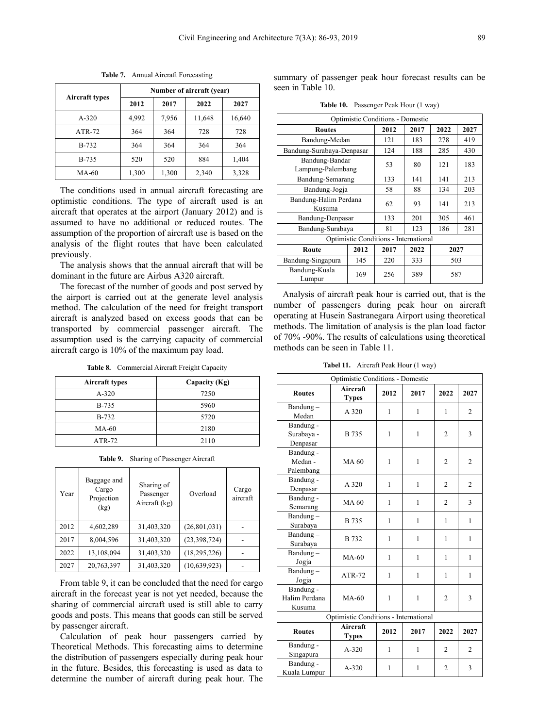|                       | Number of aircraft (year) |       |        |        |  |  |
|-----------------------|---------------------------|-------|--------|--------|--|--|
| <b>Aircraft types</b> | 2012                      | 2017  | 2022   | 2027   |  |  |
| $A - 320$             | 4,992                     | 7,956 | 11,648 | 16,640 |  |  |
| $ATR-72$              | 364                       | 364   | 728    | 728    |  |  |
| <b>B-732</b>          | 364                       | 364   | 364    | 364    |  |  |
| <b>B-735</b>          | 520                       | 520   | 884    | 1,404  |  |  |
| $MA-60$               | 1,300                     | 1,300 | 2,340  | 3,328  |  |  |

**Table 7.** Annual Aircraft Forecasting

The conditions used in annual aircraft forecasting are optimistic conditions. The type of aircraft used is an aircraft that operates at the airport (January 2012) and is assumed to have no additional or reduced routes. The assumption of the proportion of aircraft use is based on the analysis of the flight routes that have been calculated previously.

The analysis shows that the annual aircraft that will be dominant in the future are Airbus A320 aircraft.

The forecast of the number of goods and post served by the airport is carried out at the generate level analysis method. The calculation of the need for freight transport aircraft is analyzed based on excess goods that can be transported by commercial passenger aircraft. The assumption used is the carrying capacity of commercial aircraft cargo is 10% of the maximum pay load.

**Table 8.** Commercial Aircraft Freight Capacity

| <b>Aircraft types</b> | Capacity (Kg) |
|-----------------------|---------------|
| $A-320$               | 7250          |
| <b>B-735</b>          | 5960          |
| <b>B-732</b>          | 5720          |
| MA-60                 | 2180          |
| $ATR-72$              | 2110          |

**Table 9.** Sharing of Passenger Aircraft

| Year | Baggage and<br>Cargo<br>Projection<br>(kg) | Sharing of<br>Passenger<br>Aircraft (kg) | Overload       | Cargo<br>aircraft |
|------|--------------------------------------------|------------------------------------------|----------------|-------------------|
| 2012 | 4,602,289                                  | 31,403,320                               | (26, 801, 031) |                   |
| 2017 | 8,004,596                                  | 31,403,320                               | (23,398,724)   |                   |
| 2022 | 13,108,094                                 | 31,403,320                               | (18, 295, 226) |                   |
| 2027 | 20,763,397                                 | 31,403,320                               | (10.639.923)   |                   |

From table 9, it can be concluded that the need for cargo aircraft in the forecast year is not yet needed, because the sharing of commercial aircraft used is still able to carry goods and posts. This means that goods can still be served by passenger aircraft.

Calculation of peak hour passengers carried by Theoretical Methods. This forecasting aims to determine the distribution of passengers especially during peak hour in the future. Besides, this forecasting is used as data to determine the number of aircraft during peak hour. The

summary of passenger peak hour forecast results can be seen in Table 10.

**Table 10.** Passenger Peak Hour (1 way)

| Optimistic Conditions - Domestic    |     |                                       |      |      |      |  |
|-------------------------------------|-----|---------------------------------------|------|------|------|--|
| <b>Routes</b>                       |     | 2012                                  | 2017 | 2022 | 2027 |  |
| Bandung-Medan                       | 121 | 183                                   | 278  | 419  |      |  |
| Bandung-Surabaya-Denpasar           |     | 124                                   | 188  | 285  | 430  |  |
| Bandung-Bandar<br>Lampung-Palembang |     | 53                                    | 80   | 121  | 183  |  |
| Bandung-Semarang                    |     | 133                                   | 141  | 141  | 213  |  |
| Bandung-Jogja                       |     | 58                                    | 88   | 134  | 203  |  |
| Bandung-Halim Perdana<br>Kusuma     |     | 62                                    | 93   | 141  | 213  |  |
| Bandung-Denpasar                    |     | 133                                   | 201  | 305  | 461  |  |
| Bandung-Surabaya                    |     | 81                                    | 123  | 186  | 281  |  |
|                                     |     | Optimistic Conditions - International |      |      |      |  |
| 2012<br>Route                       |     | 2017                                  | 2022 | 2027 |      |  |
| 145<br>Bandung-Singapura            |     | 220                                   | 333  | 503  |      |  |
| Bandung-Kuala<br>Lumpur             | 169 | 256                                   | 389  | 587  |      |  |

Analysis of aircraft peak hour is carried out, that is the number of passengers during peak hour on aircraft operating at Husein Sastranegara Airport using theoretical methods. The limitation of analysis is the plan load factor of 70% -90%. The results of calculations using theoretical methods can be seen in Table 11.

**Tabel 11.** Aircraft Peak Hour (1 way)

| Optimistic Conditions - Domestic |                                       |      |      |                |                |  |
|----------------------------------|---------------------------------------|------|------|----------------|----------------|--|
| <b>Routes</b>                    | Aircraft<br><b>Types</b>              | 2012 | 2017 | 2022           | 2027           |  |
| Bandung-<br>Medan                | A 320                                 | 1    | 1    | 1              | $\overline{2}$ |  |
| Bandung -                        |                                       |      |      |                |                |  |
| Surabaya -                       | <b>B</b> 735                          | 1    | 1    | 2              | 3              |  |
| Denpasar                         |                                       |      |      |                |                |  |
| Bandung -                        |                                       |      |      |                |                |  |
| Medan -                          | MA 60                                 | 1    | 1    | $\overline{2}$ | $\overline{2}$ |  |
| Palembang                        |                                       |      |      |                |                |  |
| Bandung -                        |                                       |      |      |                |                |  |
| Denpasar                         | A 320                                 | 1    | 1    | $\overline{c}$ | $\overline{c}$ |  |
| Bandung -                        |                                       |      |      |                |                |  |
| Semarang                         | <b>MA 60</b>                          | 1    | 1    | $\overline{c}$ | 3              |  |
| Bandung-                         |                                       |      |      |                |                |  |
| Surabaya                         | <b>B</b> 735                          | 1    | 1    | 1              | 1              |  |
| Bandung-                         |                                       |      |      |                |                |  |
| Surabaya                         | <b>B</b> 732                          | 1    | 1    | 1              | 1              |  |
| Bandung-                         | $MA-60$                               | 1    | 1    | 1              | 1              |  |
| Jogja                            |                                       |      |      |                |                |  |
| Bandung-                         | $ATR-72$                              | 1    | 1    | 1              | 1              |  |
| Jogja                            |                                       |      |      |                |                |  |
| Bandung -                        |                                       |      |      |                |                |  |
| Halim Perdana                    | $MA-60$                               | 1    | 1    | $\overline{2}$ | 3              |  |
| Kusuma                           |                                       |      |      |                |                |  |
|                                  | Optimistic Conditions - International |      |      |                |                |  |
| <b>Routes</b>                    | Aircraft<br><b>Types</b>              | 2012 | 2017 | 2022           | 2027           |  |
| Bandung -                        | $A - 320$                             |      | 1    | 2              | $\overline{c}$ |  |
| Singapura                        |                                       | 1    |      |                |                |  |
| Bandung -                        | $A - 320$                             | 1    | 1    | $\overline{2}$ | 3              |  |
| Kuala Lumpur                     |                                       |      |      |                |                |  |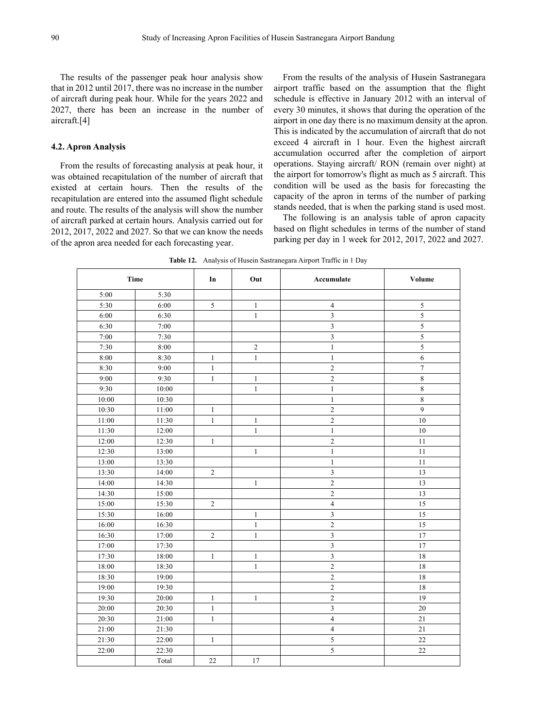The results of the passenger peak hour analysis show that in 2012 until 2017, there was no increase in the number of aircraft during peak hour. While for the years 2022 and 2027, there has been an increase in the number of aircraft.[4]

#### **4.2. Apron Analysis**

From the results of forecasting analysis at peak hour, it was obtained recapitulation of the number of aircraft that existed at certain hours. Then the results of the recapitulation are entered into the assumed flight schedule and route. The results of the analysis will show the number of aircraft parked at certain hours. Analysis carried out for 2012, 2017, 2022 and 2027. So that we can know the needs of the apron area needed for each forecasting year.

From the results of the analysis of Husein Sastranegara airport traffic based on the assumption that the flight schedule is effective in January 2012 with an interval of every 30 minutes, it shows that during the operation of the airport in one day there is no maximum density at the apron. This is indicated by the accumulation of aircraft that do not exceed 4 aircraft in 1 hour. Even the highest aircraft accumulation occurred after the completion of airport operations. Staying aircraft/ RON (remain over night) at the airport for tomorrow's flight as much as 5 aircraft. This condition will be used as the basis for forecasting the capacity of the apron in terms of the number of parking stands needed, that is when the parking stand is used most.

The following is an analysis table of apron capacity based on flight schedules in terms of the number of stand parking per day in 1 week for 2012, 2017, 2022 and 2027.

| <b>Time</b> |       | In           | Out          | Accumulate              | Volume           |
|-------------|-------|--------------|--------------|-------------------------|------------------|
| 5:00        | 5:30  |              |              |                         |                  |
| 5:30        | 6:00  | $\sqrt{5}$   | $\mathbf{1}$ | $\overline{4}$          | 5                |
| 6:00        | 6:30  |              | $\,1$        | $\mathfrak{Z}$          | 5                |
| 6:30        | 7:00  |              |              | $\overline{3}$          | 5                |
| 7:00        | 7:30  |              |              | $\overline{\mathbf{3}}$ | 5                |
| 7:30        | 8:00  |              | $\sqrt{2}$   | $\,1\,$                 | $\sqrt{5}$       |
| 8:00        | 8:30  | $\mathbf{1}$ | $\mathbf{1}$ | $\mathbf{1}$            | $\boldsymbol{6}$ |
| 8:30        | 9:00  | $\,1$        |              | $\sqrt{2}$              | $\overline{7}$   |
| 9:00        | 9:30  | $\mathbf{1}$ | $\mathbf{1}$ | $\sqrt{2}$              | $\,8\,$          |
| 9:30        | 10:00 |              | $\mathbf{1}$ | $\mathbf{1}$            | $\,8\,$          |
| 10:00       | 10:30 |              |              | $\mathbf{1}$            | $\,8\,$          |
| 10:30       | 11:00 | $\mathbf{1}$ |              | $\sqrt{2}$              | 9                |
| 11:00       | 11:30 | $\,1\,$      | $\mathbf{1}$ | $\sqrt{2}$              | $10\,$           |
| 11:30       | 12:00 |              | $\mathbf{1}$ | $\mathbf{1}$            | 10               |
| 12:00       | 12:30 | $\mathbf{1}$ |              | $\sqrt{2}$              | 11               |
| 12:30       | 13:00 |              | $\mathbf{1}$ | $\mathbf{1}$            | $11\,$           |
| 13:00       | 13:30 |              |              | $\mathbf{1}$            | 11               |
| 13:30       | 14:00 | $\sqrt{2}$   |              | 3                       | 13               |
| 14:00       | 14:30 |              | $\mathbf{1}$ | $\sqrt{2}$              | 13               |
| 14:30       | 15:00 |              |              | $\overline{c}$          | 13               |
| 15:00       | 15:30 | $\sqrt{2}$   |              | $\overline{4}$          | 15               |
| 15:30       | 16:00 |              | $\mathbf{1}$ | $\mathfrak{Z}$          | 15               |
| 16:00       | 16:30 |              | $\,1$        | $\overline{c}$          | 15               |
| 16:30       | 17:00 | $\sqrt{2}$   | $\,1$        | $\overline{\mathbf{3}}$ | 17               |
| 17:00       | 17:30 |              |              | $\overline{\mathbf{3}}$ | 17               |
| 17:30       | 18:00 | $\mathbf{1}$ | $\mathbf{1}$ | $\overline{\mathbf{3}}$ | 18               |
| 18:00       | 18:30 |              | $\mathbf{1}$ | $\overline{2}$          | $18\,$           |
| 18:30       | 19:00 |              |              | $\overline{c}$          | 18               |
| 19:00       | 19:30 |              |              | $\overline{2}$          | $18\,$           |
| 19:30       | 20:00 | $\mathbf{1}$ | $\mathbf{1}$ | $\overline{c}$          | 19               |
| 20:00       | 20:30 | $\,1\,$      |              | $\overline{3}$          | 20               |
| 20:30       | 21:00 | $\mathbf{1}$ |              | $\overline{4}$          | 21               |
| 21:00       | 21:30 |              |              | $\overline{4}$          | 21               |
| 21:30       | 22:00 | $\mathbf{1}$ |              | 5                       | 22               |
| 22:00       | 22:30 |              |              | $\sqrt{5}$              | $22\,$           |
|             | Total | $22\,$       | $17\,$       |                         |                  |

**Table 12.** Analysis of Husein Sastranegara Airport Traffic in 1 Day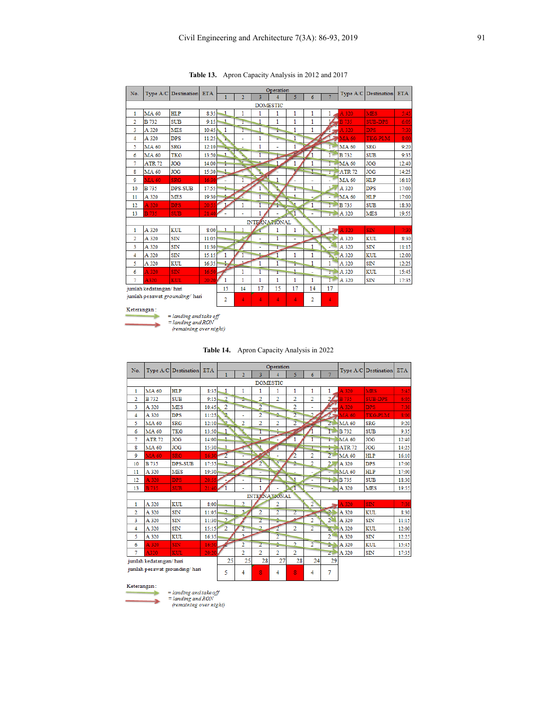| No.                           |                          |                |       |              |    | Operation |               | Type A/C Destination | <b>ETA</b>   |                |               |                |       |
|-------------------------------|--------------------------|----------------|-------|--------------|----|-----------|---------------|----------------------|--------------|----------------|---------------|----------------|-------|
|                               | Type A/C Destination ETA |                |       |              | 2  | 3         |               | 5                    | 6            |                |               |                |       |
| <b>DOMESTIC</b>               |                          |                |       |              |    |           |               |                      |              |                |               |                |       |
| $\mathbf{1}$                  | <b>MA 60</b>             | <b>HLP</b>     | 8:35  | 1            | 1  | 1         | 1             | 1                    | 1            | 1              | A 320         | <b>MES</b>     | 5:45  |
| 2                             | <b>B</b> 732             | <b>SUB</b>     | 9:15  | 1            | ï  | 1         | 1             | 1                    | 1            |                | <b>B</b> 735  | <b>SUB-DPS</b> | 6:05  |
| 3                             | A 320                    | <b>MES</b>     | 10:45 | 1            | Ŧ  | 1         | r             | 1                    | 1            |                | A 320         | <b>DPS</b>     | 7:30  |
| 4                             | A 320                    | <b>DPS</b>     | 11:25 | ħ            | ä, | 1         | ∍             | 1                    |              |                | $MAA$ 60      | <b>TKG-PLM</b> | 8:00  |
| 5                             | <b>MA 60</b>             | <b>SRG</b>     | 12:10 | <b>Allen</b> |    | 1         | ÷             | 1                    |              | г              | <b>MA 60</b>  | <b>SRG</b>     | 9:20  |
| 6                             | <b>MA 60</b>             | <b>TKG</b>     | 13:50 | 1            |    |           | ı.            |                      | 1            | $\overline{1}$ | <b>B</b> 732  | <b>SUB</b>     | 9:35  |
| 7                             | <b>ATR 72</b>            | <b>JOG</b>     | 14:00 | ÷            |    |           | 1             | 1                    | 1            | $\mathbf{I}$   | MA 60         | <b>JOG</b>     | 12:40 |
| 8                             | <b>MA 60</b>             | <b>JOG</b>     | 15:30 | 1            |    |           |               |                      |              | $\mathbf{I}$   | <b>ATR 72</b> | <b>JOG</b>     | 14:25 |
| 9                             | <b>MA 60</b>             | <b>SRG</b>     | 16:30 |              |    |           | 1             |                      | ä,           | ٠              | <b>MA 60</b>  | <b>HLP</b>     | 16:10 |
| 10                            | <b>B</b> 735             | <b>DPS-SUB</b> | 17:55 |              |    | 1         |               | т                    | 1            |                | A 320         | <b>DPS</b>     | 17:00 |
| 11                            | A 320                    | <b>MES</b>     | 19:30 |              |    |           |               | 1                    |              | ٠              | <b>MA 60</b>  | <b>HLP</b>     | 17:00 |
| 12                            | A 320                    | <b>DPS</b>     | 20:55 |              | 1  | ī         | q             |                      | 1            | т              | <b>B</b> 735  | <b>SUB</b>     | 18:30 |
| 13                            | <b>B</b> 735             | <b>SUB</b>     | 21:40 |              |    | 1         |               | 1                    |              | ī.             | A 320         | <b>MES</b>     | 19:55 |
|                               |                          |                |       |              |    |           | INTERNATIONAL |                      |              |                |               |                |       |
| 1                             | A 320                    | <b>KUL</b>     | 8:00  | 1            |    |           | 1             | 1                    | 1            | $\mathbf{L}$   | A 320         | <b>SIN</b>     | 7:30  |
| $\overline{2}$                | A 320                    | SIN            | 11:05 |              |    |           |               |                      |              |                | A 320         | <b>KUL</b>     | 8:30  |
| 3                             | A 320                    | SIN            | 11:30 |              |    | ٠         | Г             |                      | 1            |                | A 320         | SIN            | 11:15 |
| 4                             | A 320                    | SIN            | 15:15 | 1            |    |           |               | 1                    | 1            | ь              | A 320         | KUL            | 12:00 |
| 5                             | A 320                    | <b>KUL</b>     | 16:35 | t.           | 4  | 1         | 1             | Ť                    | 1            | 1              | A 320         | SIN            | 12:25 |
| 6                             | A 320                    | SIN            | 16:50 |              | 1  | ī         | ï             | 1                    | ۰            | r              | A 320         | KUL            | 15:45 |
| 7                             | A320                     | <b>KUL</b>     | 20:20 | 1            | 1  | 1         | 1             | 1                    | $\mathbf{1}$ | Ē              | A 320         | SIN            | 17:35 |
|                               | jumlah kedatangan/hari   |                |       |              | 14 | 17        | 15            | 17                   | 14           | 17             |               |                |       |
| jumlah pesawat grounding/hari |                          |                |       | 2            | 4  | 4         | 4             | 4                    | 2            | 4              |               |                |       |
| Keterangan:                   |                          |                |       |              |    |           |               |                      |              |                |               |                |       |

**Table 13.** Apron Capacity Analysis in 2012 and 2017

÷ ÷

= landing and take off<br>= landing and RON<br>(remaining over night)

| Table 14. |  | Apron Capacity Analysis in 2022 |  |  |  |  |
|-----------|--|---------------------------------|--|--|--|--|
|-----------|--|---------------------------------|--|--|--|--|

| No.                           |               | Type $A/C$ Destination | <b>ETA</b> |                         |                | Operation      |                      | Type $A/C$ Destination  | ETA.           |                  |              |                |       |
|-------------------------------|---------------|------------------------|------------|-------------------------|----------------|----------------|----------------------|-------------------------|----------------|------------------|--------------|----------------|-------|
|                               |               |                        |            | 1                       | $\overline{2}$ | 3              |                      | 5.                      | 6              | 7                |              |                |       |
| <b>DOMESTIC</b>               |               |                        |            |                         |                |                |                      |                         |                |                  |              |                |       |
| 1                             | <b>MA 60</b>  | <b>HLP</b>             | 8:35       | 1                       | 1              | 1              | 1                    | 1                       | 1              | 1                | A 320        | <b>MES</b>     | 5:45  |
| $\overline{2}$                | <b>B</b> 732  | <b>SUB</b>             | 9:15       | $\overline{2}$          | 2              | $\overline{2}$ | $\overline{2}$       | $\overline{2}$          | $\overline{2}$ | $\overline{2}$   | Ŕ<br>735     | <b>SUB-DPS</b> | 6:05  |
| 3                             | A 320         | <b>MES</b>             | 10:45      | $\overline{2}$          | ٠              | 2              |                      | $\overline{2}$          |                |                  | A 320        | <b>DPS</b>     | 7:30  |
| 4                             | A 320         | <b>DPS</b>             | 11:25      | 2                       | ÷              | $\overline{2}$ | ۵                    | $\overline{2}$          | D.             |                  | <b>MA 60</b> | <b>TKG-PLM</b> | 8:00  |
| 5.                            | <b>MA 60</b>  | <b>SRG</b>             | 12:10      | þ                       | $\overline{2}$ | $\overline{2}$ | $\overline{2}$       | $\overline{2}$          |                | $\overline{2}$   | <b>MA 60</b> | <b>SRG</b>     | 9:20  |
| 6                             | <b>MA 60</b>  | <b>TKG</b>             | 13:50      | 1                       |                | ī              | ÷                    |                         |                | т                | <b>B</b> 732 | <b>SUB</b>     | 9:35  |
| 7                             | <b>ATR 72</b> | <b>JOG</b>             | 14:00      | 1                       |                | 1              |                      | 1                       |                | T.               | <b>MA 60</b> | <b>JOG</b>     | 12:40 |
| 8                             | <b>MA 60</b>  | <b>JOG</b>             | 15:30      | 1                       |                |                |                      |                         |                | Ħ                | <b>ATR72</b> | <b>JOG</b>     | 14:25 |
| 9                             | <b>MA 60</b>  | <b>SRG</b>             | 16:30      | $\overline{2}$          |                |                |                      | $\overline{\mathbf{2}}$ | $\overline{2}$ | $\overline{2}$   | <b>MA 60</b> | <b>HLP</b>     | 16:10 |
| 10                            | <b>B</b> 735  | <b>DPS-SUB</b>         | 17:55      | <u>s</u>                |                | 2              |                      | 2                       | $\overline{2}$ | $\overline{2}$   | A 320        | <b>DPS</b>     | 17:00 |
| 11                            | A 320         | <b>MES</b>             | 19:30      |                         |                | ٠              |                      |                         |                |                  | <b>MA 60</b> | <b>HLP</b>     | 17:00 |
| 12                            | A 320         | <b>DPS</b>             | 20:55      |                         | ٠              | T              |                      |                         |                | Ħ                | <b>B</b> 735 | <b>SUB</b>     | 18:30 |
| 13                            | <b>B</b> 735  | <b>SUB</b>             | 21:40      |                         |                | 1              |                      | T                       | Ξ              |                  | A 320        | <b>MES</b>     | 19:55 |
|                               |               |                        |            |                         |                |                | <b>INTERNATIONAL</b> |                         |                |                  |              |                |       |
| 1                             | A 320         | <b>KUL</b>             | 8:00       |                         | 2              |                | 2                    |                         | $\overline{2}$ |                  | A 320        | <b>SIN</b>     | 7:30  |
| $\overline{2}$                | A 320         | SIN                    | 11:05      | $\overline{\mathbf{c}}$ |                | $\overline{2}$ | $\overline{2}$       | $\overline{2}$          |                | E.               | A 320        | <b>KUL</b>     | 8:30  |
| 3                             | A 320         | SIN                    | 11:30      | $\overline{2}$          |                | $\overline{2}$ | 2                    | ۶                       | $\overline{2}$ | $\overline{2}$   | A 320        | SIN            | 11:15 |
| 4                             | A 320         | $\text{SIN}$           | 15:15      | $\overline{2}$          | $\overline{2}$ | 2              |                      | $\overline{2}$          | $\overline{2}$ | Y.               | A 320        | KUL            | 12:00 |
| 5                             | A 320         | <b>KUL</b>             | 16:35      |                         | $\overline{2}$ |                | $\overline{2}$       |                         |                | $\overline{2}$   | A 320        | SIN            | 12:25 |
| 6                             | A 320         | SIN                    | 16:50      |                         | 2              | $\overline{2}$ | 2                    | $\overline{2}$          | $\overline{2}$ | 2.               | A 320        | <b>KUL</b>     | 15:45 |
| 7                             | A320          | <b>KUL</b>             | 20:20      |                         | $\overline{2}$ | $\overline{2}$ | $\overline{2}$       | $\overline{2}$          |                | $\overline{z}$ . | A 320        | $\text{SIN}$   | 17:35 |
| jumlah kedatangan/hari        |               |                        |            | 25                      | 25             | 28             | 27                   | 28                      | 24             | 29               |              |                |       |
| jumlah pesawat grounding/hari |               |                        |            | 5                       | 4              | 8              | 4                    | 8                       | 4              | 7                |              |                |       |

#### Keterangan:

٠

= landing and take off<br>= landing and RON<br>(remaining over night)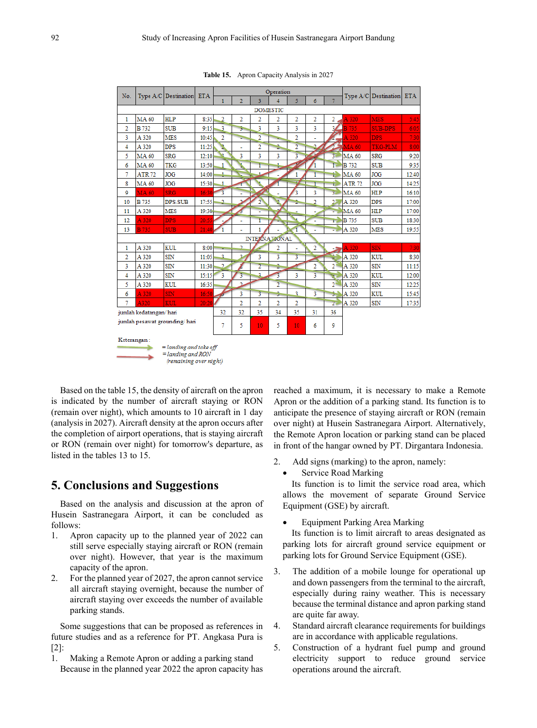| No.                           |                        | Type A/C Destination ETA                           |       |                          |                | Operation      |                | Type A/C Destination    | <b>ETA</b>     |                |               |                |       |
|-------------------------------|------------------------|----------------------------------------------------|-------|--------------------------|----------------|----------------|----------------|-------------------------|----------------|----------------|---------------|----------------|-------|
|                               |                        |                                                    |       | $\mathbf{1}$             | $\overline{2}$ | 3              | $\overline{A}$ | 5                       | 6              |                |               |                |       |
| <b>DOMESTIC</b>               |                        |                                                    |       |                          |                |                |                |                         |                |                |               |                |       |
| 1                             | <b>MA 60</b>           | <b>HLP</b>                                         | 8:35  | 2                        | 2              | 2              | 2              | $\overline{2}$          | 2              | 2              | A 320         | <b>MES</b>     | 5:45  |
| $\overline{2}$                | <b>B</b> 732           | <b>SUB</b>                                         | 9:15  | 3                        | 5.             | 3              | 3              | 3                       | 3              | 3Æ             | <b>B</b> 735  | <b>SUB-DPS</b> | 6:05  |
| 3                             | A 320                  | <b>MES</b>                                         | 10:45 | 2                        | Þ              | $\overline{2}$ |                | 2                       |                |                | A 320         | <b>DPS</b>     | 7:30  |
| 4                             | A 320                  | <b>DPS</b>                                         | 11:25 |                          | ä,             | 2              | 2              | $\overline{2}$          | ٤              |                | $\geq$ MA 60  | TKG-PLM        | 8:00  |
| 5                             | <b>MA 60</b>           | <b>SRG</b>                                         | 12:10 |                          | 3              | 3              | 3              | $\overline{\mathbf{3}}$ |                | $\overline{3}$ | <b>MA 60</b>  | <b>SRG</b>     | 9:20  |
| 6                             | <b>MA 60</b>           | <b>TKG</b>                                         | 13:50 | 1                        |                | ī              | t.             |                         |                | Ē              | <b>B</b> 732  | <b>SUB</b>     | 9:35  |
| 7                             | <b>ATR 72</b>          | <b>JOG</b>                                         | 14:00 | ÷                        |                | 1              |                | 1                       |                | ť۵             | <b>MA 60</b>  | <b>JOG</b>     | 12:40 |
| 8                             | <b>MA 60</b>           | <b>JOG</b>                                         | 15:30 | 1                        |                |                |                |                         | ī              | ń              | <b>ATR 72</b> | <b>JOG</b>     | 14:25 |
| 9                             | <b>MA 60</b>           | <b>SRG</b>                                         | 16:30 |                          |                |                |                | 3                       | 3              | Ŧ.             | <b>MA 60</b>  | <b>HLP</b>     | 16:10 |
| 10                            | <b>B</b> 735           | <b>DPS-SUB</b>                                     | 17:55 | 2                        |                | $\overline{2}$ |                | Ž.                      | $\overline{2}$ | 22             | A 320         | <b>DPS</b>     | 17:00 |
| 11                            | A 320                  | <b>MES</b>                                         | 19:30 |                          | б              | ÷              |                |                         |                | ÷              | MA 60         | <b>HLP</b>     | 17:00 |
| 12                            | A 320                  | <b>DPS</b>                                         | 20:55 |                          | ä,             | ī              |                |                         | ۰              | т.             | <b>B</b> 735  | <b>SUB</b>     | 18:30 |
| 13                            | <b>B</b> 735           | <b>SUB</b>                                         | 21:40 |                          |                | 1              |                | 1                       | ٠              | ×              | A 320         | <b>MES</b>     | 19:55 |
| <b>INTERNATIONAL</b>          |                        |                                                    |       |                          |                |                |                |                         |                |                |               |                |       |
| 1                             | A 320                  | <b>KUL</b>                                         | 8:00  |                          | C.             |                | $\overline{2}$ | ۰                       | 2              | - 51           | A 320         | <b>SIN</b>     | 7:30  |
| 2                             | A 320                  | SIN                                                | 11:05 | 3                        | 2              | 3              | 3              | 3                       |                | ä,             | A 320         | <b>KUL</b>     | 8:30  |
| 3                             | A 320                  | $\text{SIN}$                                       | 11:30 | C.                       |                | $\overline{2}$ | 2              |                         | $\overline{2}$ | 2 <sup>1</sup> | A 320         | $\text{SIN}$   | 11:15 |
| 4                             | A 320                  | SIN                                                | 15:15 | 3                        |                | 2              | 3              | 3                       |                | ×              | A 320         | <b>KUL</b>     | 12:00 |
| 5                             | A 320                  | <b>KUL</b>                                         | 16:35 |                          | $\mathbf{r}$   |                | $\overline{2}$ |                         |                | $2^{\circ}$    | A 320         | SIN            | 12:25 |
| 6                             | A 320                  | <b>SIN</b>                                         | 16:50 | $\overline{\mathcal{L}}$ | 3              | 3              | 9.             | 3                       | 3              | s.             | A 320         | KUL            | 15:45 |
| 7                             | A320                   | <b>KUL</b>                                         | 20:20 |                          | $\overline{2}$ | $\overline{2}$ | $\overline{2}$ | $\overline{2}$          |                | 27             | A 320         | $\text{SIN}$   | 17:35 |
|                               | jumlah kedatangan/hari | 32                                                 | 32    | 35                       | 34             | 35             | 31             | 36                      |                |                |               |                |       |
| jumlah pesawat grounding/hari |                        |                                                    |       | 7                        | 5              | 10             | 5.             | 10 <sub>1</sub>         | 6              | 9              |               |                |       |
| Keterangan:                   | $=$ landing and $RON$  | $=$ landing and take off<br>(remaining over night) |       |                          |                |                |                |                         |                |                |               |                |       |

**Table 15.** Apron Capacity Analysis in 2027

Based on the table 15, the density of aircraft on the apron is indicated by the number of aircraft staying or RON (remain over night), which amounts to 10 aircraft in 1 day (analysis in 2027). Aircraft density at the apron occurs after the completion of airport operations, that is staying aircraft or RON (remain over night) for tomorrow's departure, as listed in the tables 13 to 15.

## **5. Conclusions and Suggestions**

Based on the analysis and discussion at the apron of Husein Sastranegara Airport, it can be concluded as follows:

- 1. Apron capacity up to the planned year of 2022 can still serve especially staying aircraft or RON (remain over night). However, that year is the maximum capacity of the apron.
- 2. For the planned year of 2027, the apron cannot service all aircraft staying overnight, because the number of aircraft staying over exceeds the number of available parking stands.

Some suggestions that can be proposed as references in future studies and as a reference for PT. Angkasa Pura is [2]:

1. Making a Remote Apron or adding a parking stand Because in the planned year 2022 the apron capacity has

reached a maximum, it is necessary to make a Remote Apron or the addition of a parking stand. Its function is to anticipate the presence of staying aircraft or RON (remain over night) at Husein Sastranegara Airport. Alternatively, the Remote Apron location or parking stand can be placed in front of the hangar owned by PT. Dirgantara Indonesia.

- 2. Add signs (marking) to the apron, namely:
	- Service Road Marking

Its function is to limit the service road area, which allows the movement of separate Ground Service Equipment (GSE) by aircraft.

• Equipment Parking Area Marking

Its function is to limit aircraft to areas designated as parking lots for aircraft ground service equipment or parking lots for Ground Service Equipment (GSE).

- 3. The addition of a mobile lounge for operational up and down passengers from the terminal to the aircraft, especially during rainy weather. This is necessary because the terminal distance and apron parking stand are quite far away.
- 4. Standard aircraft clearance requirements for buildings are in accordance with applicable regulations.
- 5. Construction of a hydrant fuel pump and ground electricity support to reduce ground service operations around the aircraft.